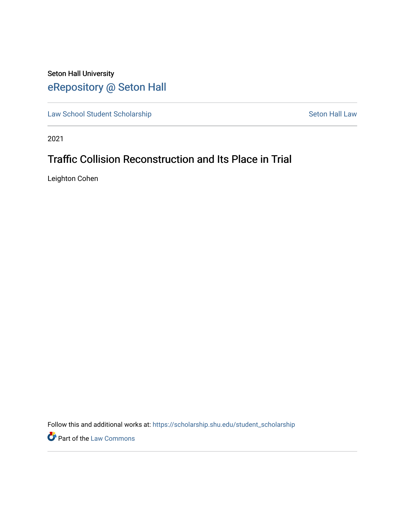## Seton Hall University [eRepository @ Seton Hall](https://scholarship.shu.edu/)

[Law School Student Scholarship](https://scholarship.shu.edu/student_scholarship) Seton Hall Law

2021

# Traffic Collision Reconstruction and Its Place in Trial

Leighton Cohen

Follow this and additional works at: [https://scholarship.shu.edu/student\\_scholarship](https://scholarship.shu.edu/student_scholarship?utm_source=scholarship.shu.edu%2Fstudent_scholarship%2F1249&utm_medium=PDF&utm_campaign=PDFCoverPages) 

Part of the [Law Commons](http://network.bepress.com/hgg/discipline/578?utm_source=scholarship.shu.edu%2Fstudent_scholarship%2F1249&utm_medium=PDF&utm_campaign=PDFCoverPages)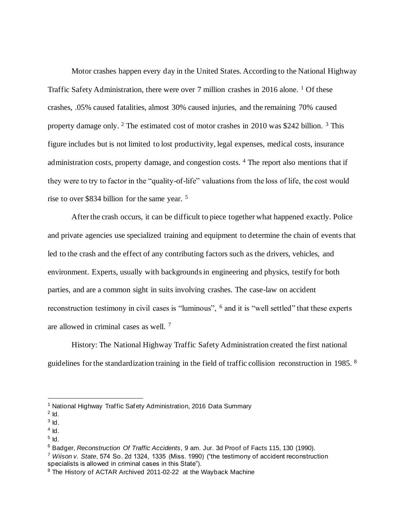Motor crashes happen every day in the United States. According to the National Highway Traffic Safety Administration, there were over 7 million crashes in 2016 alone.  $\frac{1}{1}$  Of these crashes, .05% caused fatalities, almost 30% caused injuries, and the remaining 70% caused property damage only. <sup>2</sup> The estimated cost of motor crashes in 2010 was \$242 billion. <sup>3</sup> This figure includes but is not limited to lost productivity, legal expenses, medical costs, insurance administration costs, property damage, and congestion costs. <sup>4</sup> The report also mentions that if they were to try to factor in the "quality-of-life" valuations from the loss of life, the cost would rise to over \$834 billion for the same year. <sup>5</sup>

After the crash occurs, it can be difficult to piece together what happened exactly. Police and private agencies use specialized training and equipment to determine the chain of events that led to the crash and the effect of any contributing factors such as the drivers, vehicles, and environment. Experts, usually with backgrounds in engineering and physics, testify for both parties, and are a common sight in suits involving crashes. The case-law on accident reconstruction testimony in civil cases is "luminous", <sup>6</sup> and it is "well settled" that these experts are allowed in criminal cases as well. <sup>7</sup>

History: The National Highway Traffic Safety Administration created the first national guidelines for the standardization training in the field of traffic collision reconstruction in 1985. <sup>8</sup>

<sup>&</sup>lt;sup>1</sup> National Highway Traffic Safety Administration, 2016 Data Summary

 $2$  Id.

 $3$  Id.

 $4$  Id.

 $^5$  Id.

<sup>6</sup> Badger, *Reconstruction Of Traffic Accidents*, 9 am. Jur. 3d Proof of Facts 115, 130 (1990).

<sup>7</sup> *Wiison v. State*, 574 So. 2d 1324, 1335 (Miss. 1990) ("the testimony of accident reconstruction specialists is allowed in criminal cases in this State").

<sup>&</sup>lt;sup>8</sup> The History of ACTAR Archived 2011-02-22 at the Wayback Machine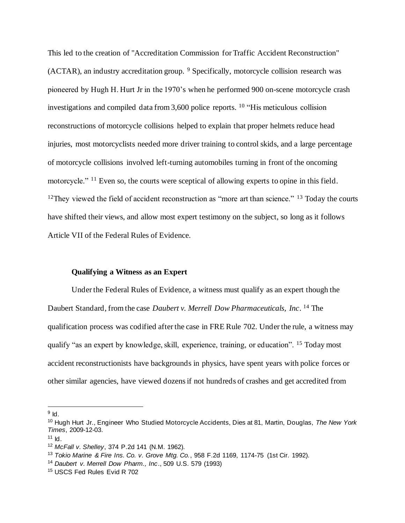This led to the creation of "Accreditation Commission for Traffic Accident Reconstruction" (ACTAR), an industry accreditation group. <sup>9</sup> Specifically, motorcycle collision research was pioneered by Hugh H. Hurt Jr in the 1970's when he performed 900 on-scene motorcycle crash investigations and compiled data from 3,600 police reports. <sup>10</sup> "His meticulous collision reconstructions of motorcycle collisions helped to explain that proper helmets reduce head injuries, most motorcyclists needed more driver training to control skids, and a large percentage of motorcycle collisions involved left-turning automobiles turning in front of the oncoming motorcycle." <sup>11</sup> Even so, the courts were sceptical of allowing experts to opine in this field.  $12$ They viewed the field of accident reconstruction as "more art than science."  $13$  Today the courts have shifted their views, and allow most expert testimony on the subject, so long as it follows Article VII of the Federal Rules of Evidence.

### **Qualifying a Witness as an Expert**

Under the Federal Rules of Evidence, a witness must qualify as an expert though the Daubert Standard, from the case *Daubert v. Merrell Dow Pharmaceuticals, Inc*. <sup>14</sup> The qualification process was codified after the case in FRE Rule 702. Under the rule, a witness may qualify "as an expert by knowledge, skill, experience, training, or education". <sup>15</sup> Today most accident reconstructionists have backgrounds in physics, have spent years with police forces or other similar agencies, have viewed dozens if not hundreds of crashes and get accredited from

 $^9$  Id.

<sup>10</sup> Hugh Hurt Jr., Engineer Who Studied Motorcycle Accidents, Dies at 81, Martin, Douglas, *The New York Times*, 2009-12-03.

 $11$  Id.

<sup>12</sup> *McFall v. Shelley*, 374 P.2d 141 (N.M. 1962).

<sup>13</sup> *Tokio Marine & Fire Ins. Co. v. Grove Mtg. Co.*, 958 F.2d 1169, 1174-75 (1st Cir. 1992).

<sup>14</sup> *Daubert v. Merrell Dow Pharm., Inc*., 509 U.S. 579 (1993)

<sup>15</sup> USCS Fed Rules Evid R 702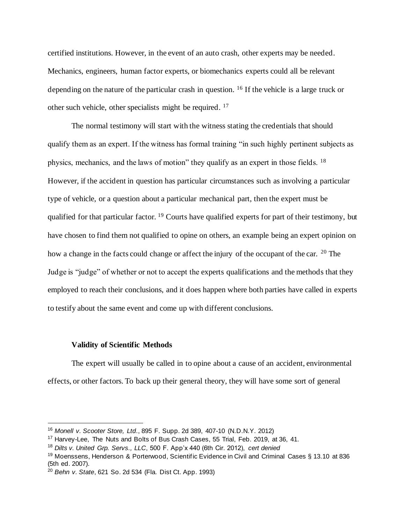certified institutions. However, in the event of an auto crash, other experts may be needed. Mechanics, engineers, human factor experts, or biomechanics experts could all be relevant depending on the nature of the particular crash in question. <sup>16</sup> If the vehicle is a large truck or other such vehicle, other specialists might be required. <sup>17</sup>

The normal testimony will start with the witness stating the credentials that should qualify them as an expert. If the witness has formal training "in such highly pertinent subjects as physics, mechanics, and the laws of motion" they qualify as an expert in those fields. <sup>18</sup> However, if the accident in question has particular circumstances such as involving a particular type of vehicle, or a question about a particular mechanical part, then the expert must be qualified for that particular factor. <sup>19</sup> Courts have qualified experts for part of their testimony, but have chosen to find them not qualified to opine on others, an example being an expert opinion on how a change in the facts could change or affect the injury of the occupant of the car. <sup>20</sup> The Judge is "judge" of whether or not to accept the experts qualifications and the methods that they employed to reach their conclusions, and it does happen where both parties have called in experts to testify about the same event and come up with different conclusions.

### **Validity of Scientific Methods**

The expert will usually be called in to opine about a cause of an accident, environmental effects, or other factors. To back up their general theory, they will have some sort of general

<sup>16</sup> *Monell v. Scooter Store, Ltd*., 895 F. Supp. 2d 389, 407-10 (N.D.N.Y. 2012)

<sup>&</sup>lt;sup>17</sup> Harvey-Lee, The Nuts and Bolts of Bus Crash Cases, 55 Trial, Feb. 2019, at 36, 41.

<sup>18</sup> *Dilts v. United Grp. Servs., LLC*, 500 F. App'x 440 (6th Cir. 2012), *cert denied*

<sup>&</sup>lt;sup>19</sup> Moenssens, Henderson & Porterwood, Scientific Evidence in Civil and Criminal Cases § 13.10 at 836 (5th ed. 2007).

<sup>20</sup> *Behn v. State*, 621 So. 2d 534 (Fla. Dist Ct. App. 1993)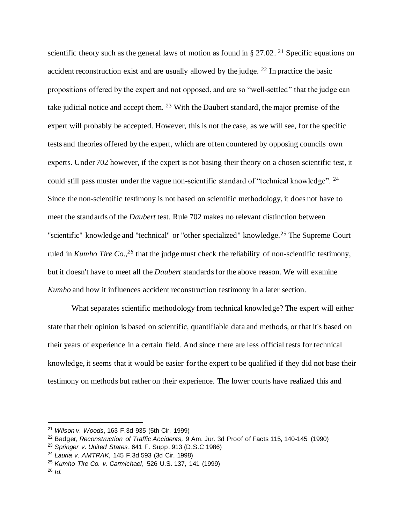scientific theory such as the general laws of motion as found in  $\S 27.02$ . <sup>21</sup> Specific equations on accident reconstruction exist and are usually allowed by the judge. <sup>22</sup> In practice the basic propositions offered by the expert and not opposed, and are so "well-settled" that the judge can take judicial notice and accept them. <sup>23</sup> With the Daubert standard, the major premise of the expert will probably be accepted. However, this is not the case, as we will see, for the specific tests and theories offered by the expert, which are often countered by opposing councils own experts. Under 702 however, if the expert is not basing their theory on a chosen scientific test, it could still pass muster under the vague non-scientific standard of "technical knowledge". <sup>24</sup> Since the non-scientific testimony is not based on scientific methodology, it does not have to meet the standards of the *Daubert* test. Rule 702 makes no relevant distinction between "scientific" knowledge and "technical" or "other specialized" knowledge.<sup>25</sup> The Supreme Court ruled in *Kumho Tire Co.,<sup>26</sup>* that the judge must check the reliability of non-scientific testimony, but it doesn't have to meet all the *Daubert* standards for the above reason. We will examine *Kumho* and how it influences accident reconstruction testimony in a later section.

What separates scientific methodology from technical knowledge? The expert will either state that their opinion is based on scientific, quantifiable data and methods, or that it's based on their years of experience in a certain field. And since there are less official tests for technical knowledge, it seems that it would be easier for the expert to be qualified if they did not base their testimony on methods but rather on their experience. The lower courts have realized this and

<sup>21</sup> *Wilson v. Woods*, 163 F.3d 935 (5th Cir. 1999)

<sup>22</sup> Badger, *Reconstruction of Traffic Accidents,* 9 Am. Jur. 3d Proof of Facts 115, 140-145 (1990)

<sup>23</sup> *Springer v. United States*, 641 F. Supp. 913 (D.S.C 1986)

<sup>24</sup> *Lauria v. AMTRAK,* 145 F.3d 593 (3d Cir. 1998)

<sup>25</sup> *Kumho Tire Co. v. Carmichael*, 526 U.S. 137, 141 (1999)

<sup>26</sup> *Id.*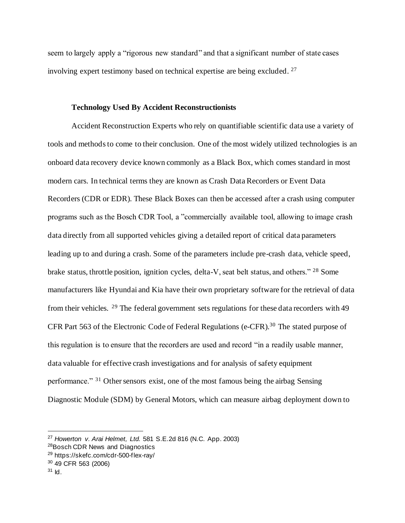seem to largely apply a "rigorous new standard" and that a significant number of state cases involving expert testimony based on technical expertise are being excluded. <sup>27</sup>

#### **Technology Used By Accident Reconstructionists**

Accident Reconstruction Experts who rely on quantifiable scientific data use a variety of tools and methods to come to their conclusion. One of the most widely utilized technologies is an onboard data recovery device known commonly as a Black Box, which comes standard in most modern cars. In technical terms they are known as Crash Data Recorders or Event Data Recorders (CDR or EDR). These Black Boxes can then be accessed after a crash using computer programs such as the Bosch CDR Tool, a "commercially available tool, allowing to image crash data directly from all supported vehicles giving a detailed report of critical data parameters leading up to and during a crash. Some of the parameters include pre-crash data, vehicle speed, brake status, throttle position, ignition cycles, delta-V, seat belt status, and others." <sup>28</sup> Some manufacturers like Hyundai and Kia have their own proprietary software for the retrieval of data from their vehicles. <sup>29</sup> The federal government sets regulations for these data recorders with 49 CFR Part 563 of the Electronic Code of Federal Regulations (e-CFR).<sup>30</sup> The stated purpose of this regulation is to ensure that the recorders are used and record "in a readily usable manner, data valuable for effective crash investigations and for analysis of safety equipment performance." <sup>31</sup> Other sensors exist, one of the most famous being the airbag Sensing Diagnostic Module (SDM) by General Motors, which can measure airbag deployment down to

<sup>27</sup> *Howerton v. Arai Helmet, Ltd.* 581 S.E.2d 816 (N.C. App. 2003)

<sup>28</sup>Bosch CDR News and Diagnostics

<sup>29</sup> https://skefc.com/cdr-500-flex-ray/

<sup>30</sup> 49 CFR 563 (2006)

 $31$  Id.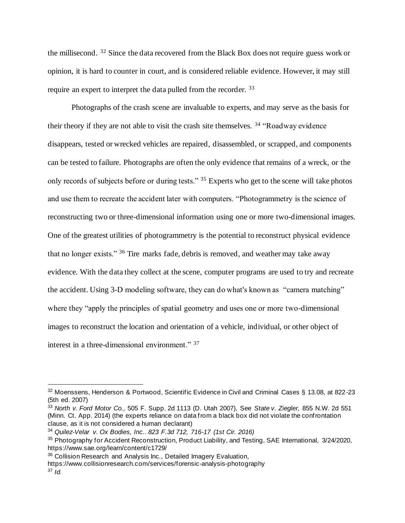the millisecond. <sup>32</sup> Since the data recovered from the Black Box does not require guess work or opinion, it is hard to counter in court, and is considered reliable evidence. However, it may still require an expert to interpret the data pulled from the recorder. <sup>33</sup>

Photographs of the crash scene are invaluable to experts, and may serve as the basis for their theory if they are not able to visit the crash site themselves. <sup>34</sup> "Roadway evidence disappears, tested or wrecked vehicles are repaired, disassembled, or scrapped, and components can be tested to failure. Photographs are often the only evidence that remains of a wreck, or the only records of subjects before or during tests." <sup>35</sup> Experts who get to the scene will take photos and use them to recreate the accident later with computers. "Photogrammetry is the science of reconstructing two or three-dimensional information using one or more two-dimensional images. One of the greatest utilities of photogrammetry is the potential to reconstruct physical evidence that no longer exists." <sup>36</sup> Tire marks fade, debris is removed, and weather may take away evidence. With the data they collect at the scene, computer programs are used to try and recreate the accident. Using 3-D modeling software, they can do what's known as "camera matching" where they "apply the principles of spatial geometry and uses one or more two-dimensional images to reconstruct the location and orientation of a vehicle, individual, or other object of interest in a three-dimensional environment." <sup>37</sup>

<sup>32</sup> Moenssens, Henderson & Portwood, Scientific Evidence in Civil and Criminal Cases § 13.08, at 822-23 (5th ed. 2007)

<sup>33</sup> *North v. Ford Motor Co.,* 505 F. Supp. 2d 1113 (D. Utah 2007), See *State v. Ziegler,* 855 N.W. 2d 551 (Minn. Ct. App. 2014) (the experts reliance on data from a black box did not violate the confrontation clause, as it is not considered a human declarant)

<sup>34</sup> *Quilez-Velar v. Ox Bodies, Inc.. 823 F.3d 712, 716-17 (1st Cir. 2016)*

<sup>35</sup> Photography for Accident Reconstruction, Product Liability, and Testing, SAE International, 3/24/2020, https://www.sae.org/learn/content/c1729/

<sup>&</sup>lt;sup>36</sup> Collision Research and Analysis Inc., Detailed Imagery Evaluation,

https://www.collisionresearch.com/services/forensic-analysis-photography

<sup>37</sup> *Id.*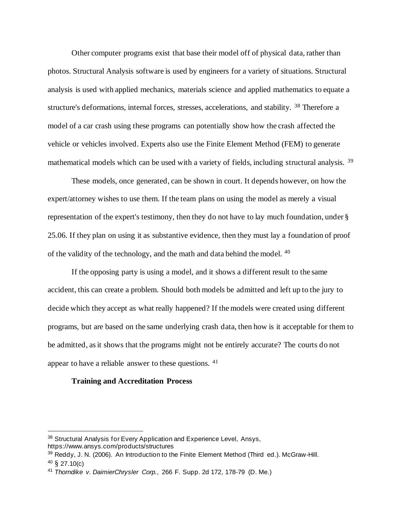Other computer programs exist that base their model off of physical data, rather than photos. Structural Analysis software is used by engineers for a variety of situations. Structural analysis is used with applied mechanics, materials science and applied mathematics to equate a structure's deformations, internal forces, stresses, accelerations, and stability. <sup>38</sup> Therefore a model of a car crash using these programs can potentially show how the crash affected the vehicle or vehicles involved. Experts also use the Finite Element Method (FEM) to generate mathematical models which can be used with a variety of fields, including structural analysis. <sup>39</sup>

These models, once generated, can be shown in court. It depends however, on how the expert/attorney wishes to use them. If the team plans on using the model as merely a visual representation of the expert's testimony, then they do not have to lay much foundation, under § 25.06. If they plan on using it as substantive evidence, then they must lay a foundation of proof of the validity of the technology, and the math and data behind the model. <sup>40</sup>

If the opposing party is using a model, and it shows a different result to the same accident, this can create a problem. Should both models be admitted and left up to the jury to decide which they accept as what really happened? If the models were created using different programs, but are based on the same underlying crash data, then how is it acceptable for them to be admitted, as it shows that the programs might not be entirely accurate? The courts do not appear to have a reliable answer to these questions. <sup>41</sup>

#### **Training and Accreditation Process**

<sup>&</sup>lt;sup>38</sup> Structural Analysis for Every Application and Experience Level, Ansys, https://www.ansys.com/products/structures

<sup>&</sup>lt;sup>39</sup> Reddy, J. N. (2006). An Introduction to the Finite Element Method (Third ed.). McGraw-Hill.  $40 \& 27.10(c)$ 

<sup>41</sup> *Thorndike v. DaimierChrysler Corp.,* 266 F. Supp. 2d 172, 178-79 (D. Me.)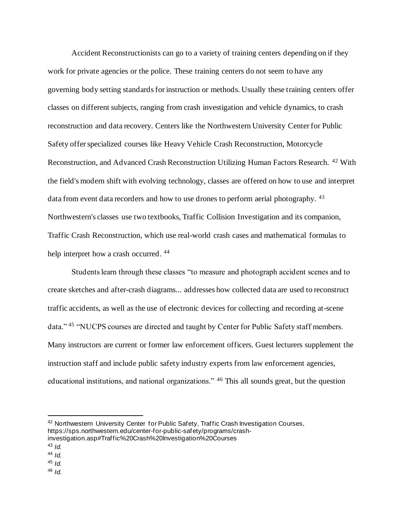Accident Reconstructionists can go to a variety of training centers depending on if they work for private agencies or the police. These training centers do not seem to have any governing body setting standards for instruction or methods. Usually these training centers offer classes on different subjects, ranging from crash investigation and vehicle dynamics, to crash reconstruction and data recovery. Centers like the Northwestern University Center for Public Safety offer specialized courses like Heavy Vehicle Crash Reconstruction, Motorcycle Reconstruction, and Advanced Crash Reconstruction Utilizing Human Factors Research. <sup>42</sup> With the field's modern shift with evolving technology, classes are offered on how to use and interpret data from event data recorders and how to use drones to perform aerial photography. <sup>43</sup> Northwestern's classes use two textbooks, Traffic Collision Investigation and its companion, Traffic Crash Reconstruction, which use real-world crash cases and mathematical formulas to help interpret how a crash occurred.  $44$ 

Students learn through these classes "to measure and photograph accident scenes and to create sketches and after-crash diagrams... addresses how collected data are used to reconstruct traffic accidents, as well as the use of electronic devices for collecting and recording at-scene data." <sup>45</sup> "NUCPS courses are directed and taught by Center for Public Safety staff members. Many instructors are current or former law enforcement officers. Guest lecturers supplement the instruction staff and include public safety industry experts from law enforcement agencies, educational institutions, and national organizations." <sup>46</sup> This all sounds great, but the question

 $45$  *Id.* 

<sup>42</sup> Northwestern University Center for Public Safety, Traffic Crash Investigation Courses, https://sps.northwestern.edu/center-for-public-safety/programs/crashinvestigation.asp#Traffic%20Crash%20Investigation%20Courses

<sup>43</sup> *Id.*

<sup>44</sup> *Id.* 

<sup>46</sup> *Id.*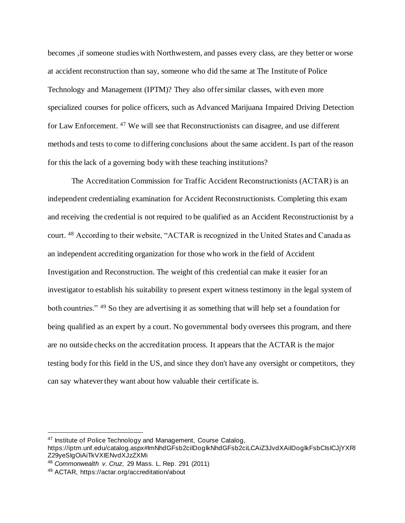becomes , if someone studies with Northwestern, and passes every class, are they better or worse at accident reconstruction than say, someone who did the same at The Institute of Police Technology and Management (IPTM)? They also offer similar classes, with even more specialized courses for police officers, such as Advanced Marijuana Impaired Driving Detection for Law Enforcement. <sup>47</sup> We will see that Reconstructionists can disagree, and use different methods and tests to come to differing conclusions about the same accident. Is part of the reason for this the lack of a governing body with these teaching institutions?

The Accreditation Commission for Traffic Accident Reconstructionists (ACTAR) is an independent credentialing examination for Accident Reconstructionists. Completing this exam and receiving the credential is not required to be qualified as an Accident Reconstructionist by a court. <sup>48</sup> According to their website, "ACTAR is recognized in the United States and Canada as an independent accrediting organization for those who work in the field of Accident Investigation and Reconstruction. The weight of this credential can make it easier for an investigator to establish his suitability to present expert witness testimony in the legal system of both countries." <sup>49</sup> So they are advertising it as something that will help set a foundation for being qualified as an expert by a court. No governmental body oversees this program, and there are no outside checks on the accreditation process. It appears that the ACTAR is the major testing body for this field in the US, and since they don't have any oversight or competitors, they can say whatever they want about how valuable their certificate is.

<sup>47</sup> Institute of Police Technology and Management, Course Catalog,

https://iptm.unf.edu/catalog.aspx#ImNhdGFsb2ciIDogIkNhdGFsb2ciLCAiZ3JvdXAiIDogIkFsbCIsICJjYXRl Z29yeSIgOiAiTkVXIENvdXJzZXMi

<sup>48</sup> *Commonwealth v. Cruz*, 29 Mass. L. Rep. 291 (2011)

<sup>49</sup> ACTAR, https://actar.org/accreditation/about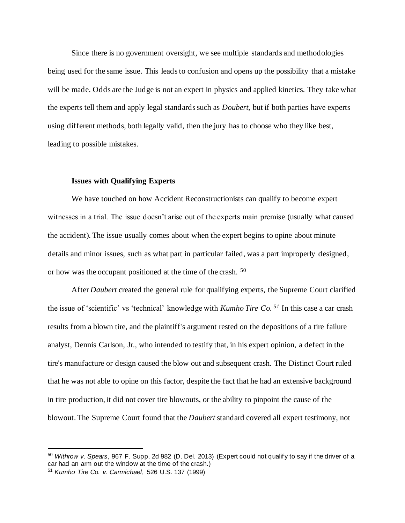Since there is no government oversight, we see multiple standards and methodologies being used for the same issue. This leads to confusion and opens up the possibility that a mistake will be made. Odds are the Judge is not an expert in physics and applied kinetics. They take what the experts tell them and apply legal standards such as *Doubert*, but if both parties have experts using different methods, both legally valid, then the jury has to choose who they like best, leading to possible mistakes.

#### **Issues with Qualifying Experts**

We have touched on how Accident Reconstructionists can qualify to become expert witnesses in a trial. The issue doesn't arise out of the experts main premise (usually what caused the accident). The issue usually comes about when the expert begins to opine about minute details and minor issues, such as what part in particular failed, was a part improperly designed, or how was the occupant positioned at the time of the crash. <sup>50</sup>

After *Daubert* created the general rule for qualifying experts, the Supreme Court clarified the issue of 'scientific' vs 'technical' knowledge with *Kumho Tire Co. <sup>51</sup>* In this case a car crash results from a blown tire, and the plaintiff's argument rested on the depositions of a tire failure analyst, Dennis Carlson, Jr., who intended to testify that, in his expert opinion, a defect in the tire's manufacture or design caused the blow out and subsequent crash. The Distinct Court ruled that he was not able to opine on this factor, despite the fact that he had an extensive background in tire production, it did not cover tire blowouts, or the ability to pinpoint the cause of the blowout. The Supreme Court found that the *Daubert* standard covered all expert testimony, not

<sup>50</sup> *Withrow v. Spears*, 967 F. Supp. 2d 982 (D. Del. 2013) (Expert could not qualify to say if the driver of a car had an arm out the window at the time of the crash.)

<sup>51</sup> *Kumho Tire Co. v. Carmichael*, 526 U.S. 137 (1999)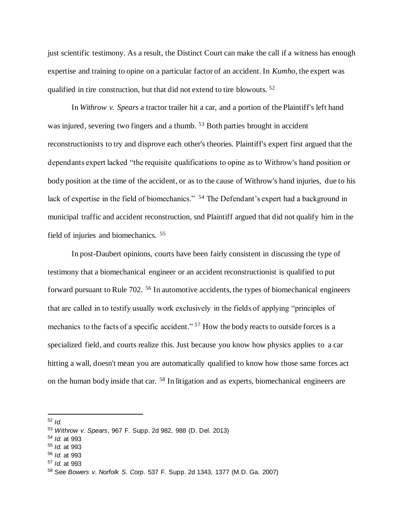just scientific testimony. As a result, the Distinct Court can make the call if a witness has enough expertise and training to opine on a particular factor of an accident. In *Kumho*, the expert was qualified in tire construction, but that did not extend to tire blowouts. <sup>52</sup>

In *Withrow v. Spears* a tractor trailer hit a car, and a portion of the Plaintiff's left hand was injured, severing two fingers and a thumb. <sup>53</sup> Both parties brought in accident reconstructionists to try and disprove each other's theories. Plaintiff's expert first argued that the dependants expert lacked "the requisite qualifications to opine as to Withrow's hand position or body position at the time of the accident, or as to the cause of Withrow's hand injuries, due to his lack of expertise in the field of biomechanics." <sup>54</sup> The Defendant's expert had a background in municipal traffic and accident reconstruction, snd Plaintiff argued that did not qualify him in the field of injuries and biomechanics. <sup>55</sup>

In post-Daubert opinions, courts have been fairly consistent in discussing the type of testimony that a biomechanical engineer or an accident reconstructionist is qualified to put forward pursuant to Rule 702. <sup>56</sup> In automotive accidents, the types of biomechanical engineers that are called in to testify usually work exclusively in the fields of applying "principles of mechanics to the facts of a specific accident." <sup>57</sup> How the body reacts to outside forces is a specialized field, and courts realize this. Just because you know how physics applies to a car hitting a wall, doesn't mean you are automatically qualified to know how those same forces act on the human body inside that car. <sup>58</sup> In litigation and as experts, biomechanical engineers are

<sup>57</sup> *Id.* at 993

<sup>52</sup> *Id.*

<sup>53</sup> *Withrow v. Spears*, 967 F. Supp. 2d 982, 988 (D. Del. 2013)

<sup>54</sup> *Id.* at 993

<sup>55</sup> *Id.* at 993

<sup>56</sup> *Id.* at 993

<sup>58</sup> See *Bowers v. Norfolk S. Corp*. 537 F. Supp. 2d 1343, 1377 (M.D. Ga. 2007)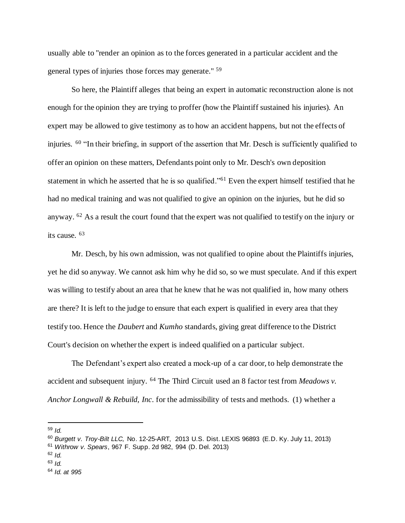usually able to "render an opinion as to the forces generated in a particular accident and the general types of injuries those forces may generate." <sup>59</sup>

So here, the Plaintiff alleges that being an expert in automatic reconstruction alone is not enough for the opinion they are trying to proffer (how the Plaintiff sustained his injuries). An expert may be allowed to give testimony as to how an accident happens, but not the effects of injuries. <sup>60</sup> "In their briefing, in support of the assertion that Mr. Desch is sufficiently qualified to offer an opinion on these matters, Defendants point only to Mr. Desch's own deposition statement in which he asserted that he is so qualified."<sup>61</sup> Even the expert himself testified that he had no medical training and was not qualified to give an opinion on the injuries, but he did so anyway. <sup>62</sup> As a result the court found that the expert was not qualified to testify on the injury or its cause. <sup>63</sup>

Mr. Desch, by his own admission, was not qualified to opine about the Plaintiffs injuries, yet he did so anyway. We cannot ask him why he did so, so we must speculate. And if this expert was willing to testify about an area that he knew that he was not qualified in, how many others are there? It is left to the judge to ensure that each expert is qualified in every area that they testify too. Hence the *Daubert* and *Kumho* standards, giving great difference to the District Court's decision on whether the expert is indeed qualified on a particular subject.

The Defendant's expert also created a mock-up of a car door, to help demonstrate the accident and subsequent injury. <sup>64</sup> The Third Circuit used an 8 factor test from *Meadows v. Anchor Longwall & Rebuild, Inc*. for the admissibility of tests and methods. (1) whether a

<sup>59</sup> *Id.* 

- <sup>61</sup> *Withrow v. Spears*, 967 F. Supp. 2d 982, 994 (D. Del. 2013)
- $62$  *Id.*
- <sup>63</sup> *Id.*

<sup>60</sup> *Burgett v. Troy-Bilt LLC,* No. 12-25-ART, 2013 U.S. Dist. LEXIS 96893 (E.D. Ky. July 11, 2013)

<sup>64</sup> *Id. at 995*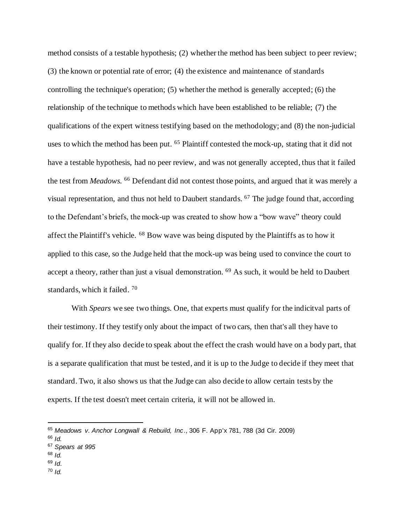method consists of a testable hypothesis; (2) whether the method has been subject to peer review; (3) the known or potential rate of error; (4) the existence and maintenance of standards controlling the technique's operation; (5) whether the method is generally accepted; (6) the relationship of the technique to methods which have been established to be reliable; (7) the qualifications of the expert witness testifying based on the methodology; and (8) the non-judicial uses to which the method has been put. <sup>65</sup> Plaintiff contested the mock-up, stating that it did not have a testable hypothesis, had no peer review, and was not generally accepted, thus that it failed the test from *Meadows.* <sup>66</sup> Defendant did not contest those points, and argued that it was merely a visual representation, and thus not held to Daubert standards. <sup>67</sup> The judge found that, according to the Defendant's briefs, the mock-up was created to show how a "bow wave" theory could affect the Plaintiff's vehicle. <sup>68</sup> Bow wave was being disputed by the Plaintiffs as to how it applied to this case, so the Judge held that the mock-up was being used to convince the court to accept a theory, rather than just a visual demonstration. <sup>69</sup> As such, it would be held to Daubert standards, which it failed. <sup>70</sup>

With *Spears* we see two things. One, that experts must qualify for the indicitval parts of their testimony. If they testify only about the impact of two cars, then that's all they have to qualify for. If they also decide to speak about the effect the crash would have on a body part, that is a separate qualification that must be tested, and it is up to the Judge to decide if they meet that standard. Two, it also shows us that the Judge can also decide to allow certain tests by the experts. If the test doesn't meet certain criteria, it will not be allowed in.

- <sup>68</sup> *Id.*
- <sup>69</sup> *Id*.
- <sup>70</sup> *Id.*

<sup>65</sup> *Meadows v. Anchor Longwall & Rebuild, Inc*., 306 F. App'x 781, 788 (3d Cir. 2009)

<sup>66</sup> *Id.*

<sup>67</sup> *Spears at 995*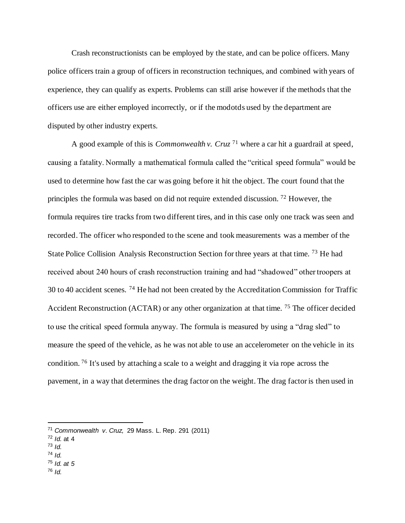Crash reconstructionists can be employed by the state, and can be police officers. Many police officers train a group of officers in reconstruction techniques, and combined with years of experience, they can qualify as experts. Problems can still arise however if the methods that the officers use are either employed incorrectly, or if the modotds used by the department are disputed by other industry experts.

A good example of this is *Commonwealth v. Cruz* <sup>71</sup> where a car hit a guardrail at speed, causing a fatality. Normally a mathematical formula called the "critical speed formula" would be used to determine how fast the car was going before it hit the object. The court found that the principles the formula was based on did not require extended discussion. <sup>72</sup> However, the formula requires tire tracks from two different tires, and in this case only one track was seen and recorded. The officer who responded to the scene and took measurements was a member of the State Police Collision Analysis Reconstruction Section for three years at that time. <sup>73</sup> He had received about 240 hours of crash reconstruction training and had "shadowed" other troopers at 30 to 40 accident scenes. <sup>74</sup> He had not been created by the Accreditation Commission for Traffic Accident Reconstruction (ACTAR) or any other organization at that time. <sup>75</sup> The officer decided to use the critical speed formula anyway. The formula is measured by using a "drag sled" to measure the speed of the vehicle, as he was not able to use an accelerometer on the vehicle in its condition. <sup>76</sup> It's used by attaching a scale to a weight and dragging it via rope across the pavement, in a way that determines the drag factor on the weight. The drag factor is then used in

- $73$  *Id.*
- <sup>74</sup> *Id.*
- <sup>75</sup> *Id. at 5*
- <sup>76</sup> *Id.*

<sup>71</sup> *Commonwealth v. Cruz,* 29 Mass. L. Rep. 291 (2011)

<sup>72</sup> *Id.* at 4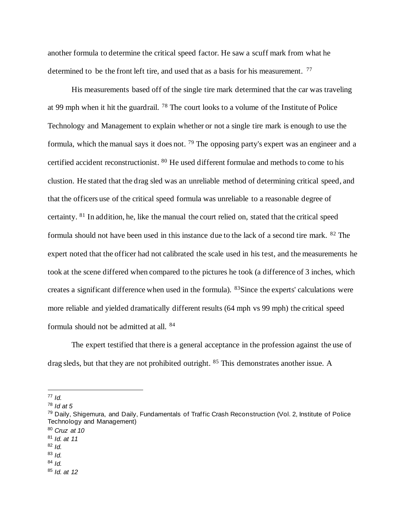another formula to determine the critical speed factor. He saw a scuff mark from what he determined to be the front left tire, and used that as a basis for his measurement. <sup>77</sup>

His measurements based off of the single tire mark determined that the car was traveling at 99 mph when it hit the guardrail. <sup>78</sup> The court looks to a volume of the Institute of Police Technology and Management to explain whether or not a single tire mark is enough to use the formula, which the manual says it does not. <sup>79</sup> The opposing party's expert was an engineer and a certified accident reconstructionist. <sup>80</sup> He used different formulae and methods to come to his clustion. He stated that the drag sled was an unreliable method of determining critical speed, and that the officers use of the critical speed formula was unreliable to a reasonable degree of certainty. <sup>81</sup> In addition, he, like the manual the court relied on, stated that the critical speed formula should not have been used in this instance due to the lack of a second tire mark. <sup>82</sup> The expert noted that the officer had not calibrated the scale used in his test, and the measurements he took at the scene differed when compared to the pictures he took (a difference of 3 inches, which creates a significant difference when used in the formula). <sup>83</sup>Since the experts' calculations were more reliable and yielded dramatically different results (64 mph vs 99 mph) the critical speed formula should not be admitted at all. <sup>84</sup>

The expert testified that there is a general acceptance in the profession against the use of drag sleds, but that they are not prohibited outright. <sup>85</sup> This demonstrates another issue. A

<sup>77</sup> *Id.*

<sup>80</sup> *Cruz at 10*

<sup>82</sup> *Id.*

 $84$  *Id.* 

<sup>78</sup> *Id at 5*

<sup>79</sup> Daily, Shigemura, and Daily, Fundamentals of Traffic Crash Reconstruction (Vol. 2, Institute of Police Technology and Management)

<sup>81</sup> *Id. at 11*

<sup>83</sup> *Id.*

<sup>85</sup> *Id. at 12*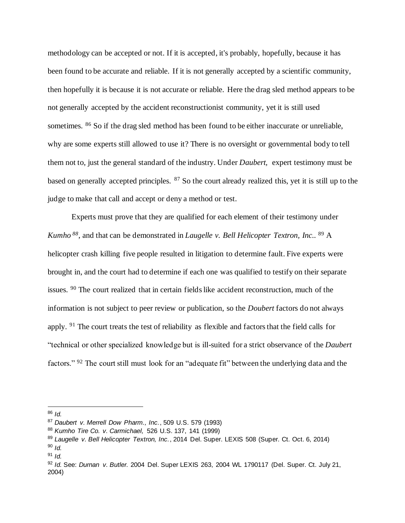methodology can be accepted or not. If it is accepted, it's probably, hopefully, because it has been found to be accurate and reliable. If it is not generally accepted by a scientific community, then hopefully it is because it is not accurate or reliable. Here the drag sled method appears to be not generally accepted by the accident reconstructionist community, yet it is still used sometimes. <sup>86</sup> So if the drag sled method has been found to be either inaccurate or unreliable, why are some experts still allowed to use it? There is no oversight or governmental body to tell them not to, just the general standard of the industry. Under *Daubert,* expert testimony must be based on generally accepted principles. <sup>87</sup> So the court already realized this, yet it is still up to the judge to make that call and accept or deny a method or test.

Experts must prove that they are qualified for each element of their testimony under *Kumho <sup>88</sup>*, and that can be demonstrated in *Laugelle v. Bell Helicopter Textron, Inc..* <sup>89</sup> A helicopter crash killing five people resulted in litigation to determine fault. Five experts were brought in, and the court had to determine if each one was qualified to testify on their separate issues. <sup>90</sup> The court realized that in certain fields like accident reconstruction, much of the information is not subject to peer review or publication, so the *Doubert* factors do not always apply. <sup>91</sup> The court treats the test of reliability as flexible and factors that the field calls for "technical or other specialized knowledge but is ill-suited for a strict observance of the *Daubert*  factors." <sup>92</sup> The court still must look for an "adequate fit" between the underlying data and the

<sup>86</sup> *Id.*

<sup>87</sup> *Daubert v. Merrell Dow Pharm., Inc.*, 509 U.S. 579 (1993)

<sup>88</sup> *Kumho Tire Co. v. Carmichael,* 526 U.S. 137, 141 (1999)

<sup>89</sup> *Laugelle v. Bell Helicopter Textron, Inc.*, 2014 Del. Super. LEXIS 508 (Super. Ct. Oct. 6, 2014)

<sup>90</sup> *Id.* 

 $91$  *Id.* 

<sup>92</sup> *Id.* See: *Durnan v. Butler.* 2004 Del. Super LEXIS 263, 2004 WL 1790117 (Del. Super. Ct. July 21, 2004)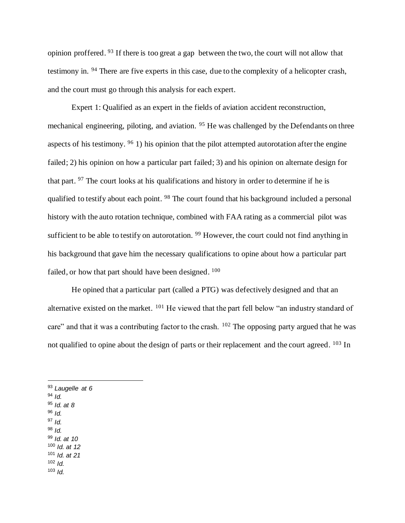opinion proffered. <sup>93</sup> If there is too great a gap between the two, the court will not allow that testimony in. <sup>94</sup> There are five experts in this case, due to the complexity of a helicopter crash, and the court must go through this analysis for each expert.

Expert 1: Qualified as an expert in the fields of aviation accident reconstruction, mechanical engineering, piloting, and aviation. <sup>95</sup> He was challenged by the Defendants on three aspects of his testimony.  $96$  1) his opinion that the pilot attempted autorotation after the engine failed; 2) his opinion on how a particular part failed; 3) and his opinion on alternate design for that part. <sup>97</sup> The court looks at his qualifications and history in order to determine if he is qualified to testify about each point. <sup>98</sup> The court found that his background included a personal history with the auto rotation technique, combined with FAA rating as a commercial pilot was sufficient to be able to testify on autorotation. <sup>99</sup> However, the court could not find anything in his background that gave him the necessary qualifications to opine about how a particular part failed, or how that part should have been designed. <sup>100</sup>

He opined that a particular part (called a PTG) was defectively designed and that an alternative existed on the market. <sup>101</sup> He viewed that the part fell below "an industry standard of care" and that it was a contributing factor to the crash. <sup>102</sup> The opposing party argued that he was not qualified to opine about the design of parts or their replacement and the court agreed. <sup>103</sup> In

- <sup>95</sup> *Id. at 8*
- <sup>96</sup> *Id.*  <sup>97</sup> *Id.*
- <sup>98</sup> *Id.*
- <sup>99</sup> *Id. at 10*
- <sup>100</sup> *Id. at 12*
- <sup>101</sup> *Id. at 21*
- <sup>102</sup> *Id.* <sup>103</sup> *Id.*

<sup>93</sup> *Laugelle at 6*

<sup>94</sup> *Id.*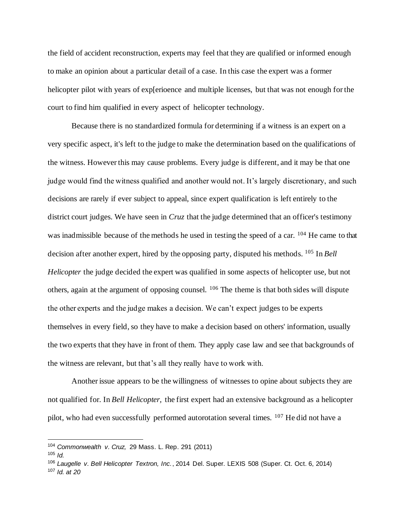the field of accident reconstruction, experts may feel that they are qualified or informed enough to make an opinion about a particular detail of a case. In this case the expert was a former helicopter pilot with years of exp[erioence and multiple licenses, but that was not enough for the court to find him qualified in every aspect of helicopter technology.

Because there is no standardized formula for determining if a witness is an expert on a very specific aspect, it's left to the judge to make the determination based on the qualifications of the witness. However this may cause problems. Every judge is different, and it may be that one judge would find the witness qualified and another would not. It's largely discretionary, and such decisions are rarely if ever subject to appeal, since expert qualification is left entirely to the district court judges. We have seen in *Cruz* that the judge determined that an officer's testimony was inadmissible because of the methods he used in testing the speed of a car. <sup>104</sup> He came to that decision after another expert, hired by the opposing party, disputed his methods. <sup>105</sup> In *Bell Helicopter* the judge decided the expert was qualified in some aspects of helicopter use, but not others, again at the argument of opposing counsel. <sup>106</sup> The theme is that both sides will dispute the other experts and the judge makes a decision. We can't expect judges to be experts themselves in every field, so they have to make a decision based on others' information, usually the two experts that they have in front of them. They apply case law and see that backgrounds of the witness are relevant, but that's all they really have to work with.

Another issue appears to be the willingness of witnesses to opine about subjects they are not qualified for. In *Bell Helicopter,* the first expert had an extensive background as a helicopter pilot, who had even successfully performed autorotation several times. <sup>107</sup> He did not have a

<sup>104</sup> *Commonwealth v. Cruz,* 29 Mass. L. Rep. 291 (2011)

 $105$  *Id.* 

<sup>106</sup> *Laugelle v. Bell Helicopter Textron, Inc.*, 2014 Del. Super. LEXIS 508 (Super. Ct. Oct. 6, 2014) <sup>107</sup> *Id. at 20*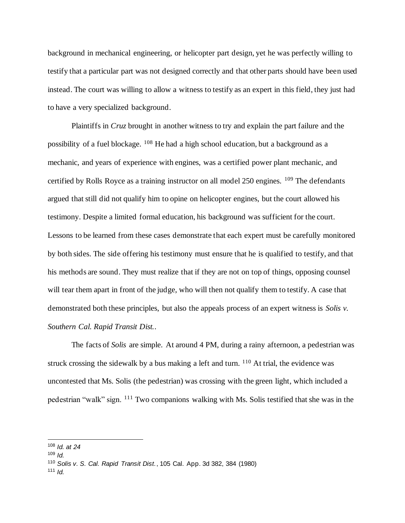background in mechanical engineering, or helicopter part design, yet he was perfectly willing to testify that a particular part was not designed correctly and that other parts should have been used instead. The court was willing to allow a witness to testify as an expert in this field, they just had to have a very specialized background.

Plaintiffs in *Cruz* brought in another witness to try and explain the part failure and the possibility of a fuel blockage.  $108$  He had a high school education, but a background as a mechanic, and years of experience with engines, was a certified power plant mechanic, and certified by Rolls Royce as a training instructor on all model 250 engines. <sup>109</sup> The defendants argued that still did not qualify him to opine on helicopter engines, but the court allowed his testimony. Despite a limited formal education, his background was sufficient for the court. Lessons to be learned from these cases demonstrate that each expert must be carefully monitored by both sides. The side offering his testimony must ensure that he is qualified to testify, and that his methods are sound. They must realize that if they are not on top of things, opposing counsel will tear them apart in front of the judge, who will then not qualify them to testify. A case that demonstrated both these principles, but also the appeals process of an expert witness is *Solis v. Southern Cal. Rapid Transit Dist.*.

The facts of *Solis* are simple. At around 4 PM, during a rainy afternoon, a pedestrian was struck crossing the sidewalk by a bus making a left and turn.  $110$  At trial, the evidence was uncontested that Ms. Solis (the pedestrian) was crossing with the green light, which included a pedestrian "walk" sign. <sup>111</sup> Two companions walking with Ms. Solis testified that she was in the

<sup>108</sup> *Id. at 24*

 $109$  *Id.* 

<sup>110</sup> *Solis v. S. Cal. Rapid Transit Dist.*, 105 Cal. App. 3d 382, 384 (1980)

<sup>111</sup> *Id.*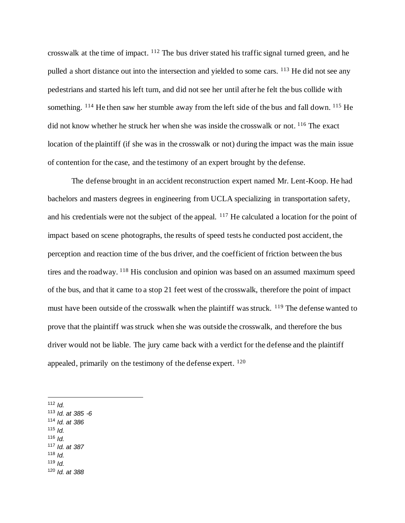crosswalk at the time of impact. <sup>112</sup> The bus driver stated his traffic signal turned green, and he pulled a short distance out into the intersection and yielded to some cars. <sup>113</sup> He did not see any pedestrians and started his left turn, and did not see her until after he felt the bus collide with something. <sup>114</sup> He then saw her stumble away from the left side of the bus and fall down. <sup>115</sup> He did not know whether he struck her when she was inside the crosswalk or not. <sup>116</sup> The exact location of the plaintiff (if she was in the crosswalk or not) during the impact was the main issue of contention for the case, and the testimony of an expert brought by the defense.

The defense brought in an accident reconstruction expert named Mr. Lent-Koop. He had bachelors and masters degrees in engineering from UCLA specializing in transportation safety, and his credentials were not the subject of the appeal. <sup>117</sup> He calculated a location for the point of impact based on scene photographs, the results of speed tests he conducted post accident, the perception and reaction time of the bus driver, and the coefficient of friction between the bus tires and the roadway. <sup>118</sup> His conclusion and opinion was based on an assumed maximum speed of the bus, and that it came to a stop 21 feet west of the crosswalk, therefore the point of impact must have been outside of the crosswalk when the plaintiff was struck. <sup>119</sup> The defense wanted to prove that the plaintiff was struck when she was outside the crosswalk, and therefore the bus driver would not be liable. The jury came back with a verdict for the defense and the plaintiff appealed, primarily on the testimony of the defense expert. <sup>120</sup>

- <sup>113</sup> *Id. at 385 -6*
- <sup>114</sup> *Id. at 386*
- <sup>115</sup> *Id.*
- <sup>116</sup> *Id.*
- <sup>117</sup> *Id. at 387*
- $118$  *Id.* <sup>119</sup> *Id.*
- 
- <sup>120</sup> *Id. at 388*

<sup>112</sup>  $I_d$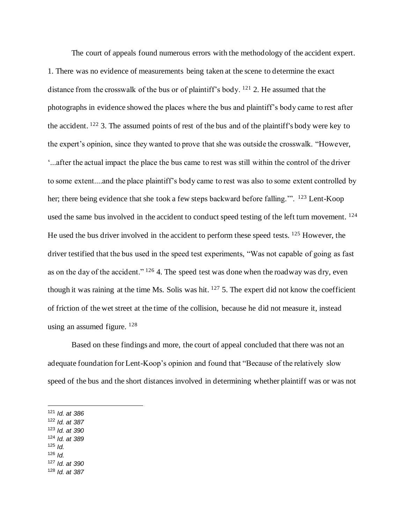The court of appeals found numerous errors with the methodology of the accident expert. 1. There was no evidence of measurements being taken at the scene to determine the exact distance from the crosswalk of the bus or of plaintiff's body. <sup>121</sup> 2. He assumed that the photographs in evidence showed the places where the bus and plaintiff's body came to rest after the accident. <sup>122</sup> 3. The assumed points of rest of the bus and of the plaintiff's body were key to the expert's opinion, since they wanted to prove that she was outside the crosswalk. "However, '...after the actual impact the place the bus came to rest was still within the control of the driver to some extent....and the place plaintiff's body came to rest was also to some extent controlled by her; there being evidence that she took a few steps backward before falling."<sup>23</sup> Lent-Koop used the same bus involved in the accident to conduct speed testing of the left turn movement. <sup>124</sup> He used the bus driver involved in the accident to perform these speed tests. <sup>125</sup> However, the driver testified that the bus used in the speed test experiments, "Was not capable of going as fast as on the day of the accident." <sup>126</sup> 4. The speed test was done when the roadway was dry, even though it was raining at the time Ms. Solis was hit. <sup>127</sup> 5. The expert did not know the coefficient of friction of the wet street at the time of the collision, because he did not measure it, instead using an assumed figure. <sup>128</sup>

Based on these findings and more, the court of appeal concluded that there was not an adequate foundation for Lent-Koop's opinion and found that "Because of the relatively slow speed of the bus and the short distances involved in determining whether plaintiff was or was not

<sup>121</sup> *Id. at 386*

<sup>122</sup> *Id. at 387*

- <sup>123</sup> *Id. at 390*
- <sup>124</sup> *Id. at 389*  $125$  *Id.*
- <sup>126</sup> *Id.*

<sup>127</sup> *Id. at 390*

<sup>128</sup> *Id. at 387*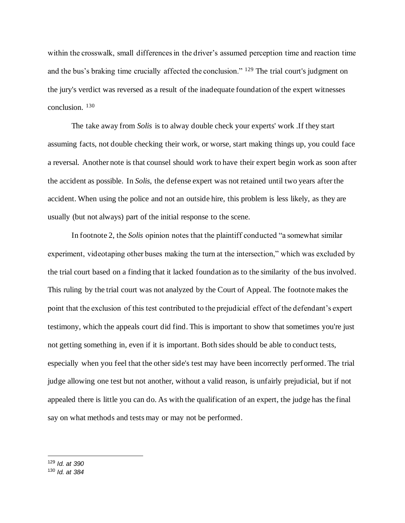within the crosswalk, small differences in the driver's assumed perception time and reaction time and the bus's braking time crucially affected the conclusion." <sup>129</sup> The trial court's judgment on the jury's verdict was reversed as a result of the inadequate foundation of the expert witnesses conclusion. <sup>130</sup>

The take away from *Solis* is to alway double check your experts' work .If they start assuming facts, not double checking their work, or worse, start making things up, you could face a reversal. Another note is that counsel should work to have their expert begin work as soon after the accident as possible. In *Solis*, the defense expert was not retained until two years after the accident. When using the police and not an outside hire, this problem is less likely, as they are usually (but not always) part of the initial response to the scene.

In footnote 2, the *Solis* opinion notes that the plaintiff conducted "a somewhat similar experiment, videotaping other buses making the turn at the intersection," which was excluded by the trial court based on a finding that it lacked foundation as to the similarity of the bus involved. This ruling by the trial court was not analyzed by the Court of Appeal. The footnote makes the point that the exclusion of this test contributed to the prejudicial effect of the defendant's expert testimony, which the appeals court did find. This is important to show that sometimes you're just not getting something in, even if it is important. Both sides should be able to conduct tests, especially when you feel that the other side's test may have been incorrectly performed. The trial judge allowing one test but not another, without a valid reason, is unfairly prejudicial, but if not appealed there is little you can do. As with the qualification of an expert, the judge has the final say on what methods and tests may or may not be performed.

<sup>129</sup> *Id. at 390*

<sup>130</sup> *Id. at 384*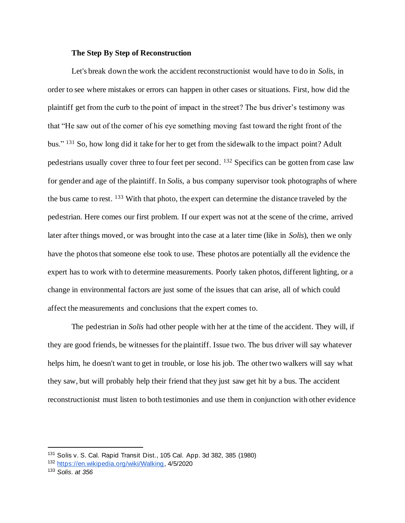#### **The Step By Step of Reconstruction**

Let's break down the work the accident reconstructionist would have to do in *Solis*, in order to see where mistakes or errors can happen in other cases or situations. First, how did the plaintiff get from the curb to the point of impact in the street? The bus driver's testimony was that "He saw out of the corner of his eye something moving fast toward the right front of the bus." <sup>131</sup> So, how long did it take for her to get from the sidewalk to the impact point? Adult pedestrians usually cover three to four feet per second. <sup>132</sup> Specifics can be gotten from case law for gender and age of the plaintiff. In *Solis*, a bus company supervisor took photographs of where the bus came to rest. <sup>133</sup> With that photo, the expert can determine the distance traveled by the pedestrian. Here comes our first problem. If our expert was not at the scene of the crime, arrived later after things moved, or was brought into the case at a later time (like in *Solis*), then we only have the photos that someone else took to use. These photos are potentially all the evidence the expert has to work with to determine measurements. Poorly taken photos, different lighting, or a change in environmental factors are just some of the issues that can arise, all of which could affect the measurements and conclusions that the expert comes to.

The pedestrian in *Solis* had other people with her at the time of the accident. They will, if they are good friends, be witnesses for the plaintiff. Issue two. The bus driver will say whatever helps him, he doesn't want to get in trouble, or lose his job. The other two walkers will say what they saw, but will probably help their friend that they just saw get hit by a bus. The accident reconstructionist must listen to both testimonies and use them in conjunction with other evidence

<sup>131</sup> Solis v. S. Cal. Rapid Transit Dist., 105 Cal. App. 3d 382, 385 (1980)

<sup>132</sup> https://en.wikipedia.org/wiki/Walking, 4/5/2020

<sup>133</sup> *Solis. at 356*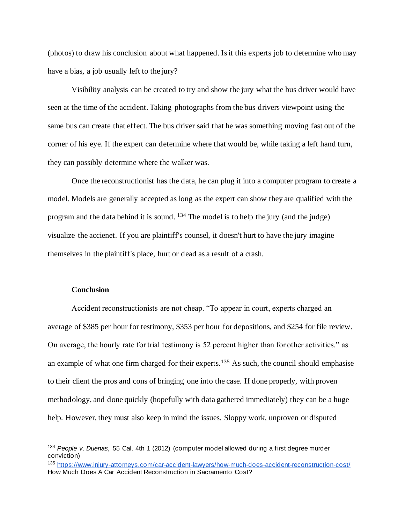(photos) to draw his conclusion about what happened. Is it this experts job to determine who may have a bias, a job usually left to the jury?

Visibility analysis can be created to try and show the jury what the bus driver would have seen at the time of the accident. Taking photographs from the bus drivers viewpoint using the same bus can create that effect. The bus driver said that he was something moving fast out of the corner of his eye. If the expert can determine where that would be, while taking a left hand turn, they can possibly determine where the walker was.

Once the reconstructionist has the data, he can plug it into a computer program to create a model. Models are generally accepted as long as the expert can show they are qualified with the program and the data behind it is sound.  $134$  The model is to help the jury (and the judge) visualize the accienet. If you are plaintiff's counsel, it doesn't hurt to have the jury imagine themselves in the plaintiff's place, hurt or dead as a result of a crash.

#### **Conclusion**

Accident reconstructionists are not cheap. "To appear in court, experts charged an average of \$385 per hour for testimony, \$353 per hour for depositions, and \$254 for file review. On average, the hourly rate for trial testimony is 52 percent higher than for other activities." as an example of what one firm charged for their experts.<sup>135</sup> As such, the council should emphasise to their client the pros and cons of bringing one into the case. If done properly, with proven methodology, and done quickly (hopefully with data gathered immediately) they can be a huge help. However, they must also keep in mind the issues. Sloppy work, unproven or disputed

<sup>134</sup> *People v. Duenas,* 55 Cal. 4th 1 (2012) (computer model allowed during a first degree murder conviction)

<sup>135</sup> https://www.injury-attorneys.com/car-accident-lawyers/how-much-does-accident-reconstruction-cost/ How Much Does A Car Accident Reconstruction in Sacramento Cost?